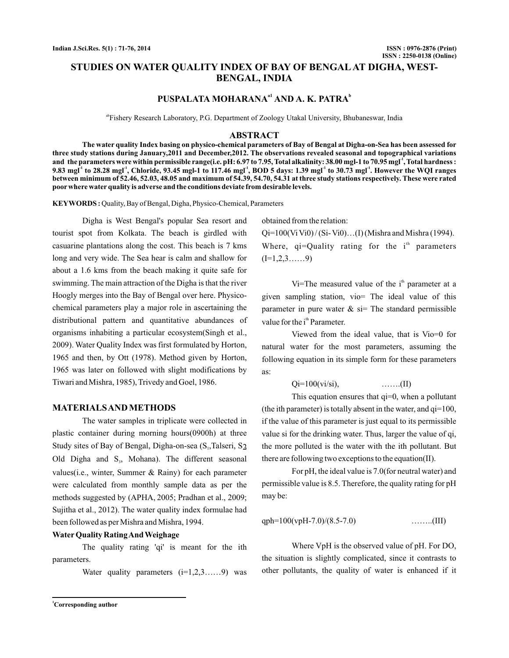# **STUDIES ON WATER QUALITY INDEX OF BAY OF BENGAL AT DIGHA, WEST-BENGAL, INDIA**

# **PUSPALATA MOHARANA<sup>a1</sup> AND A. K. PATRA**<sup>b</sup>

abFishery Research Laboratory, P.G. Department of Zoology Utakal University, Bhubaneswar, India

### **ABSTRACT**

**The water quality Index basing on physico-chemical parameters of Bay of Bengal at Digha-on-Sea has been assessed for three study stations during January,2011 and December,2012. The observations revealed seasonal and topographical variations** and the parameters were within permissible range(i.e. pH: 6.97 to 7.95, Total alkalinity: 38.00 mgl-1 to 70.95 mgl<sup>-1</sup>, Total hardness :  $9.83$  mgl $^{\text{-1}}$  to  $28.28$  mgl $^{\text{-1}}$ , Chloride,  $93.45$  mgl-1 to  $117.46$  mgl $^{\text{-1}}$ ,  $BOD$  5 days:  $1.39$  mgl $^{\text{-1}}$  to  $30.73$  mgl $^{\text{-1}}$ . However the WQI ranges **between minimum of 52.46, 52.03, 48.05 and maximum of 54.39, 54.70, 54.31 at three study stations respectively. These were rated poor where water quality is adverse and the conditions deviate from desirable levels.**

**KEYWORDS :** Quality, Bay of Bengal, Digha, Physico-Chemical, Parameters

Digha is West Bengal's popular Sea resort and tourist spot from Kolkata. The beach is girdled with casuarine plantations along the cost. This beach is 7 kms long and very wide. The Sea hear is calm and shallow for about a 1.6 kms from the beach making it quite safe for swimming. The main attraction of the Digha is that the river Hoogly merges into the Bay of Bengal over here. Physicochemical parameters play a major role in ascertaining the distributional pattern and quantitative abundances of organisms inhabiting a particular ecosystem(Singh et al., 2009). Water Quality Index was first formulated by Horton, 1965 and then, by Ott (1978). Method given by Horton, 1965 was later on followed with slight modifications by Tiwari and Mishra, 1985), Trivedy and Goel, 1986.

### **MATERIALSAND METHODS**

The water samples in triplicate were collected in plastic container during morning hours(0900h) at three Study sites of Bay of Bengal, Digha-on-sea (S<sub>1</sub>,Talseri, S<sub>2</sub> Old Digha and  $S_3$ , Mohana). The different seasonal values(i.e., winter, Summer & Rainy) for each parameter were calculated from monthly sample data as per the methods suggested by (APHA, 2005; Pradhan et al., 2009; Sujitha et al., 2012). The water quality index formulae had been followed as per Mishra and Mishra, 1994.

# **Water Quality RatingAnd Weighage**

The quality rating 'qi' is meant for the ith parameters.

Water quality parameters  $(i=1,2,3,...,9)$  was

obtained from the relation:

 $Qi=100(Vi Vi0)/(Si-Vi0)...(I)$  (Mishra and Mishra (1994). Where,  $qi=$ Quality rating for the  $i<sup>th</sup>$  parameters  $(I=1,2,3,\ldots,9)$ 

Vi=The measured value of the  $i<sup>th</sup>$  parameter at a given sampling station, vio= The ideal value of this parameter in pure water  $\&$  si= The standard permissible value for the i<sup>th</sup> Parameter.

Viewed from the ideal value, that is Vio=0 for natural water for the most parameters, assuming the following equation in its simple form for these parameters as:

 $Qi = 100(vi/si),$  ……...(II)

This equation ensures that  $qi=0$ , when a pollutant (the ith parameter) is totally absent in the water, and  $qi=100$ , if the value of this parameter is just equal to its permissible value si for the drinking water. Thus, larger the value of qi, the more polluted is the water with the ith pollutant. But there are following two exceptions to the equation(II).

For pH, the ideal value is 7.0(for neutral water) and permissible value is 8.5. Therefore, the quality rating for pH may be:

qph=100(vpH-7.0)/(8.5-7.0) ……..(III)

Where VpH is the observed value of pH. For DO, the situation is slightly complicated, since it contrasts to other pollutants, the quality of water is enhanced if it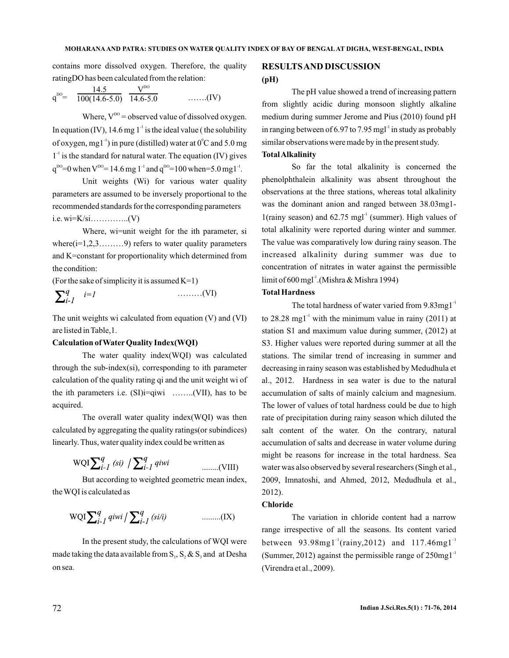contains more dissolved oxygen. Therefore, the quality ratingDO has been calculated from the relation:

$$
q^{DO} = \frac{14.5}{100(14.6-5.0)} \frac{V^{DO}}{14.6-5.0} \quad \dots \dots (IV)
$$

Where,  $V^{po}$  = observed value of dissolved oxygen. In equation (IV), 14.6 mg 1<sup>-1</sup> is the ideal value (the solubility of oxygen, mg1<sup>-1</sup>) in pure (distilled) water at  $0^{\circ}$ C and 5.0 mg  $1<sup>-1</sup>$  is the standard for natural water. The equation (IV) gives  $q^{D0}=0$  when  $V^{D0}=14.6$  mg 1<sup>-1</sup> and  $q^{D0}=100$  when=5.0 mg 1<sup>-1</sup>.

Unit weights (Wi) for various water quality parameters are assumed to be inversely proportional to the recommended standards for the corresponding parameters i.e. wi=K/si…………..(V)

Where, wi=unit weight for the ith parameter, si where  $(i=1,2,3, \ldots, 9)$  refers to water quality parameters and K=constant for proportionality which determined from the condition:

(For the sake of simplicity it is assumed  $K=1$ )

$$
\sum_{i=1}^{q} i=1
$$
 ......(VI)

The unit weights wi calculated from equation (V) and (VI) are listed in Table,1.

### **Calculation of Water Quality Index(WQI)**

The water quality index(WQI) was calculated through the sub-index(si), corresponding to ith parameter calculation of the quality rating qi and the unit weight wi of the ith parameters i.e.  $(SI)$ i=qiwi ........ $(VII)$ , has to be acquired.

The overall water quality index(WQI) was then calculated by aggregating the quality ratings(or subindices) linearly. Thus, water quality index could be written as

$$
WQI\sum_{i\text{-}I}^{q}(si) / \sum_{i\text{-}I}^{q}q i wi
$$
 .........(VIII)

But according to weighted geometric mean index, the WQI is calculated as

$$
WQI\sum_{i-1}^{q}q iwi / \sum_{i-1}^{q} (si/i)
$$
 .........(IX)

In the present study, the calculations of WQI were made taking the data available from  $S_1$ ,  $S_2$  &  $S_3$  and at Desha on sea.

# **RESULTSAND DISCUSSION (pH)**

The pH value showed a trend of increasing pattern from slightly acidic during monsoon slightly alkaline medium during summer Jerome and Pius (2010) found pH in ranging between of  $6.97$  to  $7.95$  mgl<sup>-1</sup> in study as probably similar observations were made by in the present study.

### **TotalAlkalinity**

So far the total alkalinity is concerned the phenolphthalein alkalinity was absent throughout the observations at the three stations, whereas total alkalinity was the dominant anion and ranged between 38.03mg1- 1(rainy season) and  $62.75$  mgl<sup>-1</sup> (summer). High values of total alkalinity were reported during winter and summer. The value was comparatively low during rainy season. The increased alkalinity during summer was due to concentration of nitrates in water against the permissible limit of 600 mgl<sup>-1</sup>.(Mishra & Mishra 1994)

### **Total Hardness**

The total hardness of water varied from  $9.83$ mg $1<sup>-1</sup>$ to  $28.28 \text{ mg}1^{-1}$  with the minimum value in rainy (2011) at station S1 and maximum value during summer, (2012) at S3. Higher values were reported during summer at all the stations. The similar trend of increasing in summer and decreasing in rainy season was established by Medudhula et al., 2012. Hardness in sea water is due to the natural accumulation of salts of mainly calcium and magnesium. The lower of values of total hardness could be due to high rate of precipitation during rainy season which diluted the salt content of the water. On the contrary, natural accumulation of salts and decrease in water volume during might be reasons for increase in the total hardness. Sea water was also observed by several researchers (Singh et al., 2009, Imnatoshi, and Ahmed, 2012, Medudhula et al., 2012).

#### **Chloride**

The variation in chloride content had a narrow range irrespective of all the seasons. Its content varied between  $93.98$ mg $1^{-1}$ (rainy,2012) and 117.46mg $1^{-1}$ (Summer, 2012) against the permissible range of  $250$ mg $1<sup>-1</sup>$ (Virendra et al., 2009).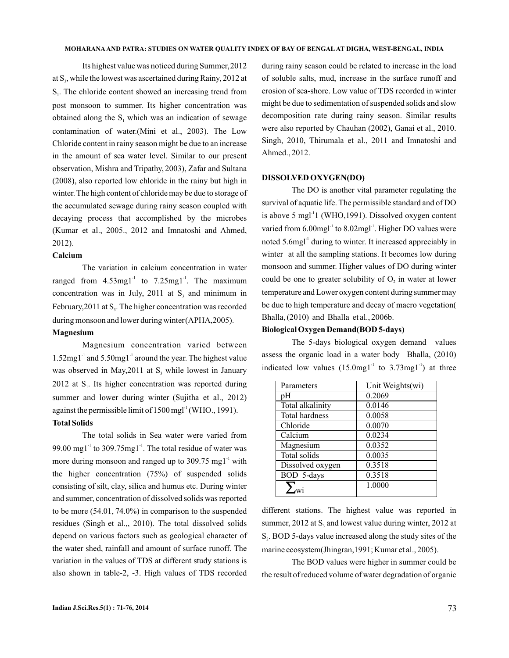Its highest value was noticed during Summer,2012 at  $S_3$ , while the lowest was ascertained during Rainy, 2012 at  $S<sub>1</sub>$ . The chloride content showed an increasing trend from post monsoon to summer. Its higher concentration was obtained along the  $S_1$  which was an indication of sewage contamination of water.(Mini et al., 2003). The Low Chloride content in rainy season might be due to an increase in the amount of sea water level. Similar to our present observation, Mishra and Tripathy, 2003), Zafar and Sultana (2008), also reported low chloride in the rainy but high in winter. The high content of chloride may be due to storage of the accumulated sewage during rainy season coupled with decaying process that accomplished by the microbes (Kumar et al., 2005., 2012 and Imnatoshi and Ahmed, 2012).

# **Calcium**

The variation in calcium concentration in water ranged from  $4.53$ mg $1<sup>-1</sup>$  to  $7.25$ mg $1<sup>-1</sup>$ . The maximum concentration was in July, 2011 at  $S_3$  and minimum in February, 2011 at  $S_3$ . The higher concentration was recorded during monsoon and lower during winter(APHA,2005).

#### **Magnesium**

Magnesium concentration varied between  $1.52$ mg $1<sup>-1</sup>$  and  $5.50$ mg $1<sup>-1</sup>$  around the year. The highest value was observed in May,  $2011$  at  $S<sub>3</sub>$  while lowest in January 2012 at  $S_i$ . Its higher concentration was reported during summer and lower during winter (Sujitha et al., 2012) against the permissible limit of 1500 mgl<sup>-1</sup> (WHO., 1991).

### **Total Solids**

The total solids in Sea water were varied from 99.00 mg1 $^{\text{-}1}$  to 309.75mg1 $^{\text{-}1}$ . The total residue of water was more during monsoon and ranged up to  $309.75 \text{ mg1}^1$  with the higher concentration (75%) of suspended solids consisting of silt, clay, silica and humus etc. During winter and summer, concentration of dissolved solids was reported to be more (54.01, 74.0%) in comparison to the suspended residues (Singh et al.,, 2010). The total dissolved solids depend on various factors such as geological character of the water shed, rainfall and amount of surface runoff. The variation in the values of TDS at different study stations is also shown in table-2, -3. High values of TDS recorded

during rainy season could be related to increase in the load of soluble salts, mud, increase in the surface runoff and erosion of sea-shore. Low value of TDS recorded in winter might be due to sedimentation of suspended solids and slow decomposition rate during rainy season. Similar results were also reported by Chauhan (2002), Ganai et al., 2010 . Singh, 2010, Thirumala et al., 2011 and Imnatoshi and Ahmed., 2012.

### **DISSOLVED OXYGEN(DO)**

The DO is another vital parameter regulating the survival of aquatic life. The permissible standard and of DO is above 5 mgl<sup>-1</sup>1 (WHO,1991). Dissolved oxygen content varied from  $6.00$ mgl<sup>-1</sup> to  $8.02$ mgl<sup>-1</sup>. Higher DO values were noted  $5.6$ mgl<sup>-1</sup> during to winter. It increased appreciably in winter at all the sampling stations. It becomes low during monsoon and summer. Higher values of DO during winter could be one to greater solubility of  $O<sub>2</sub>$  in water at lower temperature and Lower oxygen content during summer may be due to high temperature and decay of macro vegetation( Bhalla, (2010) and Bhalla et al., 2006b.

#### **Biological Oxygen Demand(BOD 5-days)**

The 5-days biological oxygen demand values assess the organic load in a water body Bhalla, (2010) indicated low values  $(15.0 \text{mg1}^{-1}$  to  $3.73 \text{mg1}^{-1})$  at three

| Parameters            | Unit Weights(wi) |
|-----------------------|------------------|
| рH                    | 0.2069           |
| Total alkalinity      | 0.0146           |
| <b>Total hardness</b> | 0.0058           |
| Chloride              | 0.0070           |
| Calcium               | 0.0234           |
| Magnesium             | 0.0352           |
| Total solids          | 0.0035           |
| Dissolved oxygen      | 0.3518           |
| BOD 5-days            | 0.3518           |
|                       | 1.0000           |

different stations. The highest value was reported in summer, 2012 at  $S_3$  and lowest value during winter, 2012 at  $S_2$ . BOD 5-days value increased along the study sites of the marine ecosystem(Jhingran,1991; Kumar et al., 2005).

The BOD values were higher in summer could be the result of reduced volume of water degradation of organic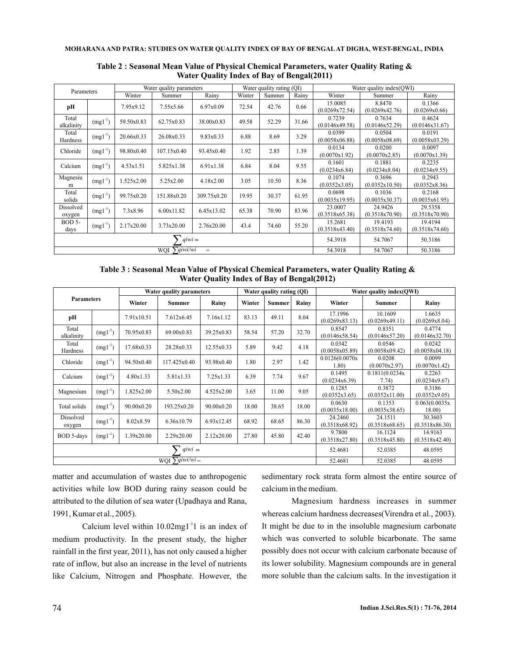#### **MOHARANA AND PATRA: STUDIES ON WATER QUALITY INDEX OF BAY OF BENGAL AT DIGHA, WEST-BENGAL, INDIA**

| Parameters                   |              | Water quality parameters |             |             | Water quality rating (OI) |        |         | Water quality index(OWI)  |                           |                           |
|------------------------------|--------------|--------------------------|-------------|-------------|---------------------------|--------|---------|---------------------------|---------------------------|---------------------------|
|                              |              | Winter                   | Summer      | Rainy       | Winter                    | Summer | Rainv   | Winter                    | Summer                    | Rainv                     |
| pН                           |              | 7.95x9.12                | 7.55x5.66   | 6.97x0.09   | 72.54                     | 42.76  | 0.66    | 15.0085<br>(0.0269x72.54) | 8.8470<br>(0.0269x42.76)  | 0.1366<br>(0.0269x0.66)   |
| Total<br>alkalinity          | $(mg1^{-1})$ | 59.50x0.83               | 62.75x0.83  | 38.00x0.83  | 49.58                     | 52.29  | 31.66   | 0.7239<br>(0.0146x49.58)  | 0.7634<br>(0.0146x52.29)  | 0.4624<br>(0.0146x31.67)  |
| Total<br>Hardness            | $(mg1^{-1})$ | 20.66x0.33               | 26.08x0.33  | 9.83x0.33   | 6.88                      | 8.69   | 3.29    | 0.0399<br>(0.0058x06.88)  | 0.0504<br>(0.0058x08.69)  | 0.0191<br>(0.0058x03.29)  |
| Chloride                     | $(mgl^{-1})$ | 98.80x0.40               | 107.15x0.40 | 93.45x0.40  | 1.92                      | 2.85   | 1.39    | 0.0134<br>(0.0070x1.92)   | 0.0200<br>(0.0070x2.85)   | 0.0097<br>(0.0070x1.39)   |
| Calcium                      | $(mg1^{-1})$ | 4.53x1.51                | 5.825x1.38  | 6.91x1.38   | 6.84                      | 8.04   | 9.55    | 0.1601<br>(0.0234x6.84)   | 0.1881<br>(0.0234x8.04)   | 0.2235<br>(0.0234x9.55)   |
| Magnesiu<br>m                | $(mgl^{-1})$ | 1.525x2.00               | 5.25x2.00   | 4.18x2.00   | 3.05                      | 10.50  | 8.36    | 0.1074<br>(0.0352x3.05)   | 0.3696<br>(0.0352x10.50)  | 0.2943<br>(0.0352x8.36)   |
| Total<br>solids              | $(mg1^{-1})$ | 99.75x0.20               | 151.88x0.20 | 309.75x0.20 | 19.95                     | 30.37  | 61.95   | 0.0698<br>(0.0035x19.95)  | 0.1036<br>(0.0035x30.37)  | 0.2168<br>(0.0035x61.95)  |
| Dissolved<br>oxygen          | $(mg1^{-1})$ | 7.3x8.96                 | 6.00x11.82  | 6.45x13.02  | 65.38                     | 70.90  | 83.96   | 23,0007<br>(0.3518x65.38) | 24.9426<br>(0.3518x70.90) | 29.5358<br>(0.3518x70.90) |
| <b>BOD 5-</b><br>days        | $(mgl^{-1})$ | 2.17x20.00               | 3.73x20.00  | 2.76x20.00  | 43.4                      | 74.60  | 55.20   | 15.2681<br>(0.3518x43.40) | 19.4193<br>(0.3518x74.60) | 19.4194<br>(0.3518x74.60) |
| $qiwi =$                     |              |                          |             |             |                           |        | 54.3918 | 54.7067                   | 50.3186                   |                           |
| $\sum$ qiwi/wi<br>WOI<br>$=$ |              |                          |             |             |                           |        |         | 54.3918                   | 54.7067                   | 50.3186                   |

**Table 2 : Seasonal Mean Value of Physical Chemical Parameters, water Quality Rating & Water Quality Index of Bay of Bengal(2011)**

**Table 3 : Seasonal Mean Value of Physical Chemical Parameters, water Quality Rating & Water Quality Index of Bay of Bengal(2012)**

| Parameters                  |              | Water quality parameters |               |            | Water quality rating (QI) |        |         | Water quality index(QWI)  |                           |                           |
|-----------------------------|--------------|--------------------------|---------------|------------|---------------------------|--------|---------|---------------------------|---------------------------|---------------------------|
|                             |              | Winter                   | <b>Summer</b> | Rainy      | Winter                    | Summer | Rainy   | Winter                    | Summer                    | Rainy                     |
| pH                          |              | 7.91x10.51               | 7.612x6.45    | 7.16x1.12  | 83.13                     | 49.11  | 8.04    | 17.1996<br>(0.0269x83.13) | 10.1609<br>(0.0269x49.11) | 1.6635<br>(0.0269x8.04)   |
| Total<br>alkalinity         | $(mgl^{-1})$ | 70.95x0.83               | 69.00x0.83    | 39.25x0.83 | 58.54                     | 57.20  | 32.70   | 0.8547<br>(0.0146x58.54)  | 0.8351<br>(0.0146x57.20)  | 0.4774<br>(0.0146x32.70)  |
| Total<br>Hardness           | $(mgl^{-1})$ | 17.68x0.33               | 28.28x0.33    | 12.55x0.33 | 5.89                      | 9.42   | 4.18    | 0.0342<br>(0.0058x05.89)  | 0.0546<br>(0.0058x09.42)  | 0.0242<br>(0.0058x04.18)  |
| Chloride                    | $(mgl^{-1})$ | 94.50x0.40               | 117.425x0.40  | 93.98x0.40 | 1.80                      | 2.97   | 1.42    | 0.0126(0.0070x<br>1.80)   | 0.0208<br>(0.0070x2.97)   | 0.0099<br>(0.0070x1.42)   |
| Calcium                     | $(mgl^{-1})$ | 4.80x1.33                | 5.81x1.33     | 7.25x1.33  | 6.39                      | 7.74   | 9.67    | 0.1495<br>(0.0234x6.39)   | 0.1811(0.0234x<br>7.74)   | 0.2263<br>(0.0234x9.67)   |
| Magnesium                   | $(mgl^{-1})$ | 1.825x2.00               | 5.50x2.00     | 4.525x2.00 | 3.65                      | 11.00  | 9.05    | 0.1285<br>(0.0352x3.65)   | 0.3872<br>(0.0352x11.00)  | 0.3186<br>(0.0352x9.05)   |
| Total solids                | $(mgl^{-1})$ | 90.00x0.20               | 193.25x0.20   | 90.00x0.20 | 18.00                     | 38.65  | 18.00   | 0.0630<br>(0.0035x18.00)  | 0.1353<br>(0.0035x38.65)  | 0.063(0.0035x<br>18.00)   |
| Dissolved<br>oxygen         | $(mgl^{-1})$ | 8.02x8.59                | 6.36x10.79    | 6.93x12.45 | 68.92                     | 68.65  | 86.30   | 24.2460<br>(0.3518x68.92) | 24.1511<br>(0.3518x68.65) | 30.3603<br>(0.3518x86.30) |
| BOD 5-days                  | $(mgl^{-1})$ | 1.39x20.00               | 2.29x20.00    | 2.12x20.00 | 27.80                     | 45.80  | 42.40   | 9.7800<br>(0.3518x27.80)  | 16.1124<br>(0.3518x45.80) | 14.9163<br>(0.3518x42.40) |
| $qiwi =$                    |              |                          |               |            |                           |        | 52.4681 | 52.0385                   | 48.0595                   |                           |
| WQI $\sum$ <i>qiwi/wi</i> = |              |                          |               |            |                           |        |         | 52.4681                   | 52.0385                   | 48.0595                   |

matter and accumulation of wastes due to anthropogenic activities while low BOD during rainy season could be attributed to the dilution of sea water (Upadhaya and Rana, 1991, Kumar et al., 2005).

Calcium level within  $10.02$ mg $1^{-1}1$  is an index of medium productivity. In the present study, the higher rainfall in the first year, 2011), has not only caused a higher rate of inflow, but also an increase in the level of nutrients like Calcium, Nitrogen and Phosphate. However, the sedimentary rock strata form almost the entire source of calcium in the medium.

Magnesium hardness increases in summer whereas calcium hardness decreases(Virendra et al., 2003). It might be due to in the insoluble magnesium carbonate which was converted to soluble bicarbonate. The same possibly does not occur with calcium carbonate because of its lower solubility. Magnesium compounds are in general more soluble than the calcium salts. In the investigation it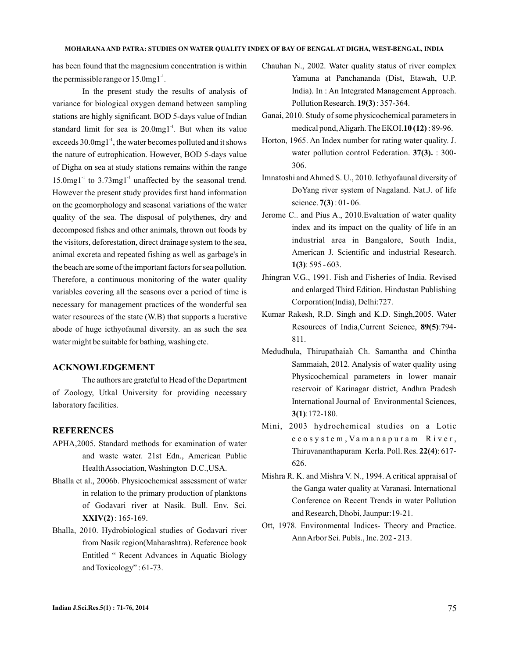has been found that the magnesium concentration is within the permissible range or  $15.0$ mg $1^{-1}$ .

In the present study the results of analysis of variance for biological oxygen demand between sampling stations are highly significant. BOD 5-days value of Indian standard limit for sea is  $20.0$ mg1<sup>-1</sup>. But when its value exceeds  $30.0$ mg $1<sup>-1</sup>$ , the water becomes polluted and it shows the nature of eutrophication. However, BOD 5-days value of Digha on sea at study stations remains within the range  $15.0$ mg1<sup>-1</sup> to  $3.73$ mg1<sup>-1</sup> unaffected by the seasonal trend. However the present study provides first hand information on the geomorphology and seasonal variations of the water quality of the sea. The disposal of polythenes, dry and decomposed fishes and other animals, thrown out foods by the visitors, deforestation, direct drainage system to the sea, animal excreta and repeated fishing as well as garbage's in the beach are some of the important factors for sea pollution. Therefore, a continuous monitoring of the water quality variables covering all the seasons over a period of time is necessary for management practices of the wonderful sea water resources of the state (W.B) that supports a lucrative abode of huge icthyofaunal diversity. an as such the sea water might be suitable for bathing, washing etc.

## **ACKNOWLEDGEMENT**

The authors are grateful to Head of the Department of Zoology, Utkal University for providing necessary laboratory facilities.

# **REFERENCES**

- APHA,2005. Standard methods for examination of water and waste water. 21st Edn., American Public HealthAssociation, Washington D.C.,USA.
- Bhalla et al., 2006b. Physicochemical assessment of water in relation to the primary production of planktons of Godavari river at Nasik. Bull. Env. Sci. : 165-169. **XXIV(2)**
- Bhalla, 2010. Hydrobiological studies of Godavari river from Nasik region(Maharashtra). Reference book Entitled " Recent Advances in Aquatic Biology and Toxicology" : 61-73.
- Chauhan N., 2002. Water quality status of river complex Yamuna at Panchananda (Dist, Etawah, U.P. India). In : An Integrated Management Approach. Pollution Research. **19(3)**: 357-364.
- Ganai, 2010. Study of some physicochemical parameters in medical pond, Aligarh. The EKOI.10(12): 89-96.
- Horton, 1965. An Index number for rating water quality. J. water pollution control Federation. 37(3). : 300-306.
- Imnatoshi andAhmed S. U., 2010. Icthyofaunal diversity of DoYang river system of Nagaland. Nat.J. of life science. 7(3): 01-06.
- Jerome C.. and Pius A., 2010.Evaluation of water quality index and its impact on the quality of life in an industrial area in Bangalore, South India, American J. Scientific and industrial Research. : 595 - 603. **1(3)**
- Jhingran V.G., 1991. Fish and Fisheries of India. Revised and enlarged Third Edition. Hindustan Publishing Corporation(India), Delhi:727.
- Kumar Rakesh, R.D. Singh and K.D. Singh,2005. Water Resources of India, Current Science, 89(5):794-811.
- Medudhula, Thirupathaiah Ch. Samantha and Chintha Sammaiah, 2012. Analysis of water quality using Physicochemical parameters in lower manair reservoir of Karinagar district, Andhra Pradesh International Journal of Environmental Sciences, :172-180. **3(1)**
- Mini, 2003 hydrochemical studies on a Lotic e c o s y s t e m, V a m a n a p u r a m R i v e r, Thiruvananthapuram Kerla. Poll. Res. 22(4): 617-626.
- Mishra R. K. and Mishra V. N., 1994. A critical appraisal of the Ganga water quality at Varanasi. International Conference on Recent Trends in water Pollution and Research, Dhobi, Jaunpur:19-21.
- Ott, 1978. Environmental Indices- Theory and Practice. AnnArbor Sci. Publs., Inc. 202 - 213.